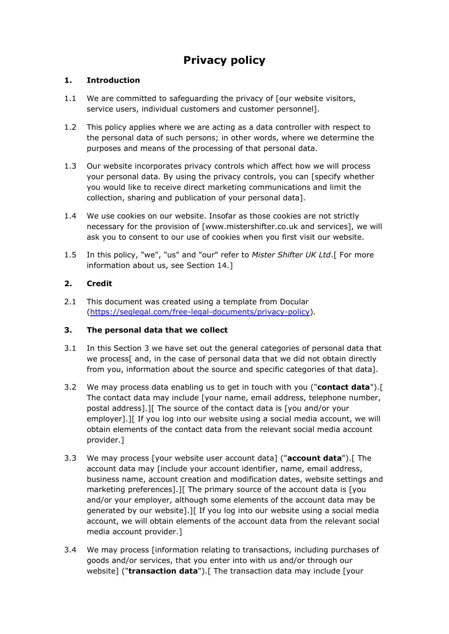# **Privacy policy**

# **1. Introduction**

- 1.1 We are committed to safeguarding the privacy of [our website visitors, service users, individual customers and customer personnel].
- 1.2 This policy applies where we are acting as a data controller with respect to the personal data of such persons; in other words, where we determine the purposes and means of the processing of that personal data.
- 1.3 Our website incorporates privacy controls which affect how we will process your personal data. By using the privacy controls, you can [specify whether you would like to receive direct marketing communications and limit the collection, sharing and publication of your personal data].
- 1.4 We use cookies on our website. Insofar as those cookies are not strictly necessary for the provision of [www.mistershifter.co.uk and services], we will ask you to consent to our use of cookies when you first visit our website.
- 1.5 In this policy, "we", "us" and "our" refer to *Mister Shifter UK Ltd*.[ For more information about us, see Section 14.]

# **2. Credit**

2.1 This document was created using a template from Docular [\(https://seqlegal.com/free-legal-documents/privacy-policy\)](https://seqlegal.com/free-legal-documents/privacy-policy)*.*

## **3. The personal data that we collect**

- 3.1 In this Section 3 we have set out the general categories of personal data that we process[ and, in the case of personal data that we did not obtain directly from you, information about the source and specific categories of that data].
- 3.2 We may process data enabling us to get in touch with you ("**contact data**").[ The contact data may include [your name, email address, telephone number, postal address].][ The source of the contact data is [you and/or your employer].][ If you log into our website using a social media account, we will obtain elements of the contact data from the relevant social media account provider.]
- 3.3 We may process [your website user account data] ("**account data**").[ The account data may [include your account identifier, name, email address, business name, account creation and modification dates, website settings and marketing preferences].][ The primary source of the account data is [you and/or your employer, although some elements of the account data may be generated by our website].][ If you log into our website using a social media account, we will obtain elements of the account data from the relevant social media account provider.]
- 3.4 We may process [information relating to transactions, including purchases of goods and/or services, that you enter into with us and/or through our website] ("**transaction data**").[ The transaction data may include [your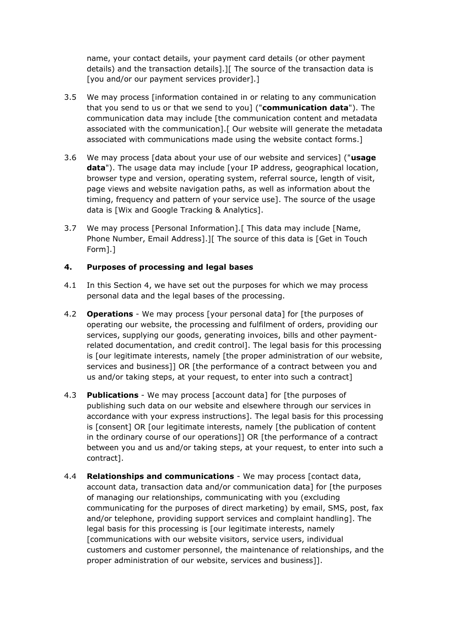name, your contact details, your payment card details (or other payment details) and the transaction details].][ The source of the transaction data is [you and/or our payment services provider].]

- 3.5 We may process [information contained in or relating to any communication that you send to us or that we send to you] ("**communication data**"). The communication data may include [the communication content and metadata associated with the communication].[ Our website will generate the metadata associated with communications made using the website contact forms.]
- 3.6 We may process [data about your use of our website and services] ("**usage data**"). The usage data may include [your IP address, geographical location, browser type and version, operating system, referral source, length of visit, page views and website navigation paths, as well as information about the timing, frequency and pattern of your service use]. The source of the usage data is [Wix and Google Tracking & Analytics].
- 3.7 We may process [Personal Information].[ This data may include [Name, Phone Number, Email Address].][ The source of this data is [Get in Touch Form].]

# **4. Purposes of processing and legal bases**

- 4.1 In this Section 4, we have set out the purposes for which we may process personal data and the legal bases of the processing.
- 4.2 **Operations**  We may process [your personal data] for [the purposes of operating our website, the processing and fulfilment of orders, providing our services, supplying our goods, generating invoices, bills and other paymentrelated documentation, and credit control]. The legal basis for this processing is [our legitimate interests, namely [the proper administration of our website, services and business]] OR [the performance of a contract between you and us and/or taking steps, at your request, to enter into such a contract]
- 4.3 **Publications**  We may process [account data] for [the purposes of publishing such data on our website and elsewhere through our services in accordance with your express instructions]. The legal basis for this processing is [consent] OR [our legitimate interests, namely [the publication of content in the ordinary course of our operations]] OR [the performance of a contract between you and us and/or taking steps, at your request, to enter into such a contract].
- 4.4 **Relationships and communications** We may process [contact data, account data, transaction data and/or communication data] for [the purposes of managing our relationships, communicating with you (excluding communicating for the purposes of direct marketing) by email, SMS, post, fax and/or telephone, providing support services and complaint handling]. The legal basis for this processing is [our legitimate interests, namely [communications with our website visitors, service users, individual customers and customer personnel, the maintenance of relationships, and the proper administration of our website, services and business]].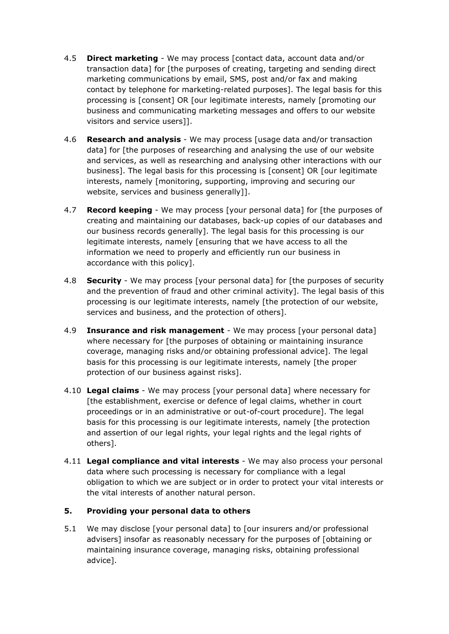- 4.5 **Direct marketing**  We may process [contact data, account data and/or transaction data] for [the purposes of creating, targeting and sending direct marketing communications by email, SMS, post and/or fax and making contact by telephone for marketing-related purposes]. The legal basis for this processing is [consent] OR [our legitimate interests, namely [promoting our business and communicating marketing messages and offers to our website visitors and service users]].
- 4.6 **Research and analysis**  We may process [usage data and/or transaction data] for [the purposes of researching and analysing the use of our website and services, as well as researching and analysing other interactions with our business]. The legal basis for this processing is [consent] OR [our legitimate interests, namely [monitoring, supporting, improving and securing our website, services and business generally]].
- 4.7 **Record keeping**  We may process [your personal data] for [the purposes of creating and maintaining our databases, back-up copies of our databases and our business records generally]. The legal basis for this processing is our legitimate interests, namely [ensuring that we have access to all the information we need to properly and efficiently run our business in accordance with this policy].
- 4.8 **Security**  We may process [your personal data] for [the purposes of security and the prevention of fraud and other criminal activity]. The legal basis of this processing is our legitimate interests, namely [the protection of our website, services and business, and the protection of others].
- 4.9 **Insurance and risk management** We may process [your personal data] where necessary for [the purposes of obtaining or maintaining insurance coverage, managing risks and/or obtaining professional advice]. The legal basis for this processing is our legitimate interests, namely [the proper protection of our business against risks].
- 4.10 **Legal claims** We may process [your personal data] where necessary for [the establishment, exercise or defence of legal claims, whether in court proceedings or in an administrative or out-of-court procedure]. The legal basis for this processing is our legitimate interests, namely [the protection and assertion of our legal rights, your legal rights and the legal rights of others].
- 4.11 **Legal compliance and vital interests** We may also process your personal data where such processing is necessary for compliance with a legal obligation to which we are subject or in order to protect your vital interests or the vital interests of another natural person.

## **5. Providing your personal data to others**

5.1 We may disclose [your personal data] to [our insurers and/or professional advisers] insofar as reasonably necessary for the purposes of [obtaining or maintaining insurance coverage, managing risks, obtaining professional advice].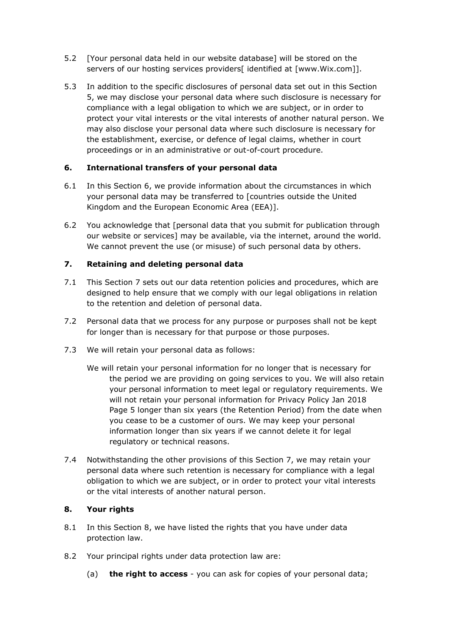- 5.2 [Your personal data held in our website database] will be stored on the servers of our hosting services providers[ identified at [www.Wix.com]].
- 5.3 In addition to the specific disclosures of personal data set out in this Section 5, we may disclose your personal data where such disclosure is necessary for compliance with a legal obligation to which we are subject, or in order to protect your vital interests or the vital interests of another natural person. We may also disclose your personal data where such disclosure is necessary for the establishment, exercise, or defence of legal claims, whether in court proceedings or in an administrative or out-of-court procedure.

# **6. International transfers of your personal data**

- 6.1 In this Section 6, we provide information about the circumstances in which your personal data may be transferred to [countries outside the United Kingdom and the European Economic Area (EEA)].
- 6.2 You acknowledge that [personal data that you submit for publication through our website or services] may be available, via the internet, around the world. We cannot prevent the use (or misuse) of such personal data by others.

# **7. Retaining and deleting personal data**

- 7.1 This Section 7 sets out our data retention policies and procedures, which are designed to help ensure that we comply with our legal obligations in relation to the retention and deletion of personal data.
- 7.2 Personal data that we process for any purpose or purposes shall not be kept for longer than is necessary for that purpose or those purposes.
- 7.3 We will retain your personal data as follows:
	- We will retain your personal information for no longer that is necessary for the period we are providing on going services to you. We will also retain your personal information to meet legal or regulatory requirements. We will not retain your personal information for Privacy Policy Jan 2018 Page 5 longer than six years (the Retention Period) from the date when you cease to be a customer of ours. We may keep your personal information longer than six years if we cannot delete it for legal regulatory or technical reasons.
- 7.4 Notwithstanding the other provisions of this Section 7, we may retain your personal data where such retention is necessary for compliance with a legal obligation to which we are subject, or in order to protect your vital interests or the vital interests of another natural person.

## **8. Your rights**

- 8.1 In this Section 8, we have listed the rights that you have under data protection law.
- 8.2 Your principal rights under data protection law are:
	- (a) **the right to access** you can ask for copies of your personal data;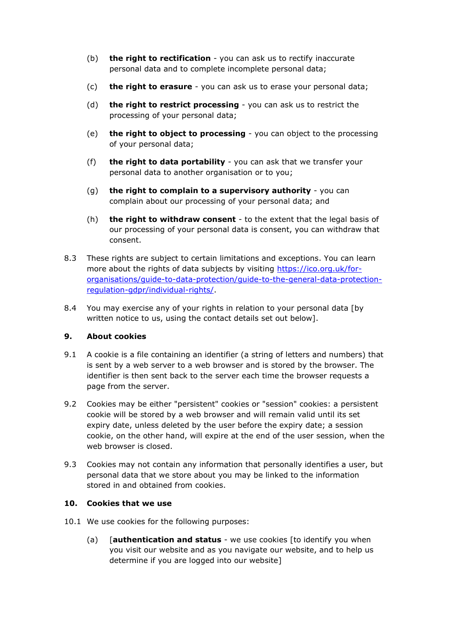- (b) **the right to rectification** you can ask us to rectify inaccurate personal data and to complete incomplete personal data;
- (c) **the right to erasure** you can ask us to erase your personal data;
- (d) **the right to restrict processing** you can ask us to restrict the processing of your personal data;
- (e) **the right to object to processing** you can object to the processing of your personal data;
- (f) **the right to data portability** you can ask that we transfer your personal data to another organisation or to you;
- (g) **the right to complain to a supervisory authority** you can complain about our processing of your personal data; and
- (h) **the right to withdraw consent** to the extent that the legal basis of our processing of your personal data is consent, you can withdraw that consent.
- 8.3 These rights are subject to certain limitations and exceptions. You can learn more about the rights of data subjects by visiting [https://ico.org.uk/for](https://ico.org.uk/for-organisations/guide-to-data-protection/guide-to-the-general-data-protection-regulation-gdpr/individual-rights/)[organisations/guide-to-data-protection/guide-to-the-general-data-protection](https://ico.org.uk/for-organisations/guide-to-data-protection/guide-to-the-general-data-protection-regulation-gdpr/individual-rights/)[regulation-gdpr/individual-rights/.](https://ico.org.uk/for-organisations/guide-to-data-protection/guide-to-the-general-data-protection-regulation-gdpr/individual-rights/)
- 8.4 You may exercise any of your rights in relation to your personal data [by written notice to us, using the contact details set out below].

## **9. About cookies**

- 9.1 A cookie is a file containing an identifier (a string of letters and numbers) that is sent by a web server to a web browser and is stored by the browser. The identifier is then sent back to the server each time the browser requests a page from the server.
- 9.2 Cookies may be either "persistent" cookies or "session" cookies: a persistent cookie will be stored by a web browser and will remain valid until its set expiry date, unless deleted by the user before the expiry date; a session cookie, on the other hand, will expire at the end of the user session, when the web browser is closed.
- 9.3 Cookies may not contain any information that personally identifies a user, but personal data that we store about you may be linked to the information stored in and obtained from cookies.

#### **10. Cookies that we use**

- 10.1 We use cookies for the following purposes:
	- (a) [**authentication and status** we use cookies [to identify you when you visit our website and as you navigate our website, and to help us determine if you are logged into our website]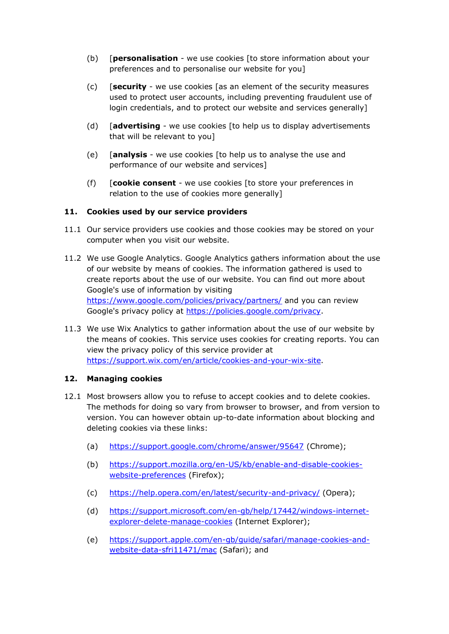- (b) [**personalisation** we use cookies [to store information about your preferences and to personalise our website for you]
- (c) [**security** we use cookies [as an element of the security measures used to protect user accounts, including preventing fraudulent use of login credentials, and to protect our website and services generally]
- (d) [**advertising** we use cookies [to help us to display advertisements that will be relevant to you]
- (e) [**analysis** we use cookies [to help us to analyse the use and performance of our website and services]
- (f) [**cookie consent** we use cookies [to store your preferences in relation to the use of cookies more generally]

#### **11. Cookies used by our service providers**

- 11.1 Our service providers use cookies and those cookies may be stored on your computer when you visit our website.
- 11.2 We use Google Analytics. Google Analytics gathers information about the use of our website by means of cookies. The information gathered is used to create reports about the use of our website. You can find out more about Google's use of information by visiting <https://www.google.com/policies/privacy/partners/> and you can review Google's privacy policy at [https://policies.google.com/privacy.](https://policies.google.com/privacy)
- 11.3 We use Wix Analytics to gather information about the use of our website by the means of cookies. This service uses cookies for creating reports. You can view the privacy policy of this service provider at [https://support.wix.com/en/article/cookies-and-your-wix-site.](https://support.wix.com/en/article/cookies-and-your-wix-site)

#### **12. Managing cookies**

- 12.1 Most browsers allow you to refuse to accept cookies and to delete cookies. The methods for doing so vary from browser to browser, and from version to version. You can however obtain up-to-date information about blocking and deleting cookies via these links:
	- (a) <https://support.google.com/chrome/answer/95647> (Chrome);
	- (b) [https://support.mozilla.org/en-US/kb/enable-and-disable-cookies](https://support.mozilla.org/en-US/kb/enable-and-disable-cookies-website-preferences)[website-preferences](https://support.mozilla.org/en-US/kb/enable-and-disable-cookies-website-preferences) (Firefox);
	- (c) <https://help.opera.com/en/latest/security-and-privacy/> (Opera);
	- (d) [https://support.microsoft.com/en-gb/help/17442/windows-internet](https://support.microsoft.com/en-gb/help/17442/windows-internet-explorer-delete-manage-cookies)[explorer-delete-manage-cookies](https://support.microsoft.com/en-gb/help/17442/windows-internet-explorer-delete-manage-cookies) (Internet Explorer);
	- (e) [https://support.apple.com/en-gb/guide/safari/manage-cookies-and](https://support.apple.com/en-gb/guide/safari/manage-cookies-and-website-data-sfri11471/mac)[website-data-sfri11471/mac](https://support.apple.com/en-gb/guide/safari/manage-cookies-and-website-data-sfri11471/mac) (Safari); and